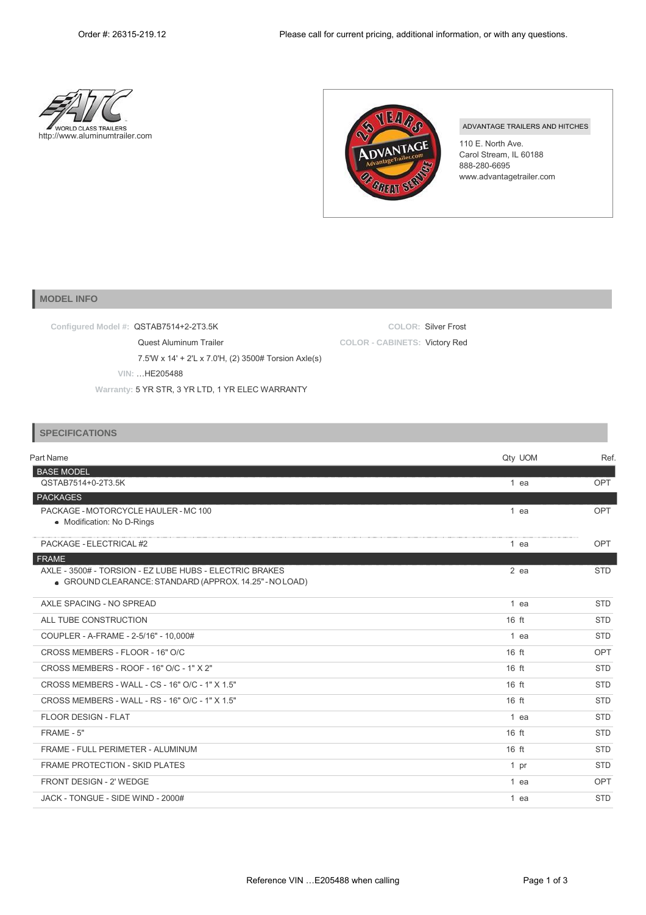



ADVANTAGE TRAILERS AND HITCHES

110 E. North Ave. Carol Stream, IL 60188 888-280-6695 [www.advantagetrailer.com](http://www.advantagetrailer.com/)

## **MODEL INFO**

**Configured Model #:** QSTAB7514+2-2T3.5K

**COLOR:** Silver Frost **COLOR - CABINETS:** Victory Red

**VIN:** …HE205488

Quest Aluminum Trailer

**Warranty:** 5 YR STR, 3 YR LTD, 1 YR ELEC WARRANTY

7.5'W x 14' + 2'L x 7.0'H, (2) 3500# Torsion Axle(s)

## **SPECIFICATIONS**

| Part Name                                                                                                          | Qty UOM | Ref.       |
|--------------------------------------------------------------------------------------------------------------------|---------|------------|
| <b>BASE MODEL</b>                                                                                                  |         |            |
| QSTAB7514+0-2T3.5K                                                                                                 | 1 ea    | <b>OPT</b> |
| <b>PACKAGES</b>                                                                                                    |         |            |
| PACKAGE - MOTORCYCLE HAULER - MC 100<br>• Modification: No D-Rings                                                 | 1 ea    | <b>OPT</b> |
| PACKAGE - ELECTRICAL #2                                                                                            | 1 ea    | OPT        |
| <b>FRAME</b>                                                                                                       |         |            |
| AXLE - 3500# - TORSION - EZ LUBE HUBS - ELECTRIC BRAKES<br>• GROUND CLEARANCE: STANDARD (APPROX. 14.25" - NO LOAD) | $2$ ea  | <b>STD</b> |
| AXLE SPACING - NO SPREAD                                                                                           | 1 ea    | <b>STD</b> |
| ALL TUBE CONSTRUCTION                                                                                              | $16$ ft | <b>STD</b> |
| COUPLER - A-FRAME - 2-5/16" - 10,000#                                                                              | 1 ea    | <b>STD</b> |
| CROSS MEMBERS - FLOOR - 16" O/C                                                                                    | 16 ft   | <b>OPT</b> |
| CROSS MEMBERS - ROOF - 16" O/C - 1" X 2"                                                                           | $16$ ft | <b>STD</b> |
| CROSS MEMBERS - WALL - CS - 16" O/C - 1" X 1.5"                                                                    | $16$ ft | <b>STD</b> |
| CROSS MEMBERS - WALL - RS - 16" O/C - 1" X 1.5"                                                                    | $16$ ft | <b>STD</b> |
| FLOOR DESIGN - FLAT                                                                                                | 1 ea    | <b>STD</b> |
| FRAME - 5"                                                                                                         | $16$ ft | <b>STD</b> |
| FRAME - FULL PERIMETER - ALUMINUM                                                                                  | $16$ ft | <b>STD</b> |
| <b>FRAME PROTECTION - SKID PLATES</b>                                                                              | 1 pr    | <b>STD</b> |
| <b>FRONT DESIGN - 2' WEDGE</b>                                                                                     | 1 ea    | <b>OPT</b> |
| JACK - TONGUE - SIDE WIND - 2000#                                                                                  | 1 ea    | <b>STD</b> |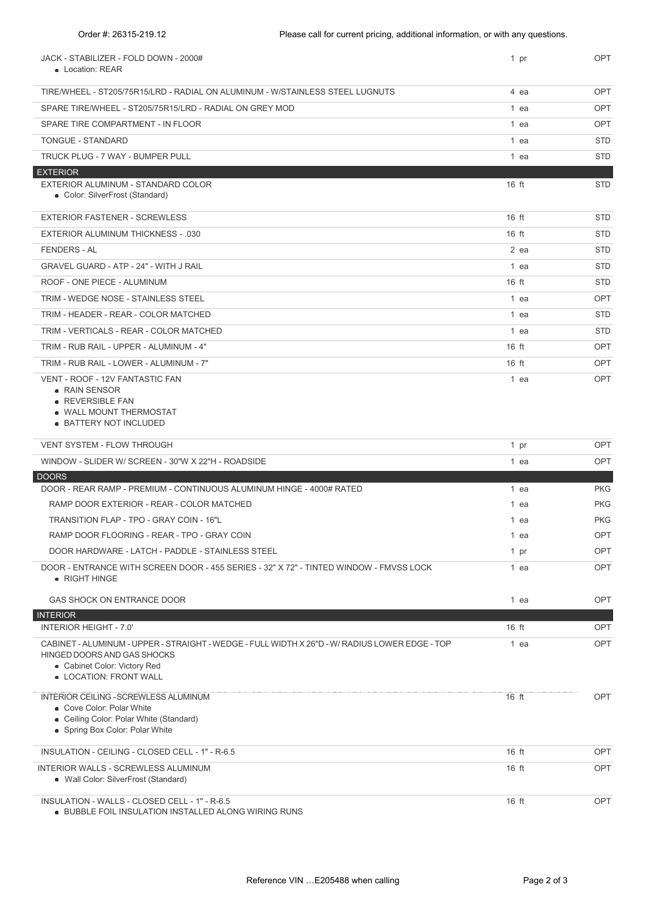| JACK - STABILIZER - FOLD DOWN - 2000#<br>• Location: REAR                                                                                                                               | 1 pr         | <b>OPT</b> |
|-----------------------------------------------------------------------------------------------------------------------------------------------------------------------------------------|--------------|------------|
| TIRE/WHEEL - ST205/75R15/LRD - RADIAL ON ALUMINUM - W/STAINLESS STEEL LUGNUTS                                                                                                           | 4 ea         | <b>OPT</b> |
| SPARE TIRE/WHEEL - ST205/75R15/LRD - RADIAL ON GREY MOD                                                                                                                                 | 1 ea         | <b>OPT</b> |
| SPARE TIRE COMPARTMENT - IN FLOOR                                                                                                                                                       | 1 ea         | <b>OPT</b> |
| <b>TONGUE - STANDARD</b>                                                                                                                                                                | 1 ea         | <b>STD</b> |
| TRUCK PLUG - 7 WAY - BUMPER PULL                                                                                                                                                        | 1 ea         | <b>STD</b> |
| <b>EXTERIOR</b>                                                                                                                                                                         |              |            |
| EXTERIOR ALUMINUM - STANDARD COLOR<br>• Color: SilverFrost (Standard)                                                                                                                   | $16$ ft      | <b>STD</b> |
| <b>EXTERIOR FASTENER - SCREWLESS</b>                                                                                                                                                    | $16$ ft      | <b>STD</b> |
| <b>EXTERIOR ALUMINUM THICKNESS - .030</b>                                                                                                                                               | $16$ ft      | <b>STD</b> |
| <b>FENDERS - AL</b>                                                                                                                                                                     | 2 ea         | <b>STD</b> |
| <b>GRAVEL GUARD - ATP - 24" - WITH J RAIL</b>                                                                                                                                           | 1 ea         | <b>STD</b> |
| ROOF - ONE PIECE - ALUMINUM                                                                                                                                                             | $16$ ft      | <b>STD</b> |
| TRIM - WEDGE NOSE - STAINLESS STEEL                                                                                                                                                     | 1 ea         | <b>OPT</b> |
| TRIM - HEADER - REAR - COLOR MATCHED                                                                                                                                                    | 1 ea         | <b>STD</b> |
| TRIM - VERTICALS - REAR - COLOR MATCHED                                                                                                                                                 | 1 ea         | <b>STD</b> |
| TRIM - RUB RAIL - UPPER - ALUMINUM - 4"                                                                                                                                                 | $16$ ft      | <b>OPT</b> |
| TRIM - RUB RAIL - LOWER - ALUMINUM - 7"                                                                                                                                                 | $16$ ft      | <b>OPT</b> |
| VENT - ROOF - 12V FANTASTIC FAN<br>• RAIN SENSOR<br>• REVERSIBLE FAN<br>. WALL MOUNT THERMOSTAT<br>• BATTERY NOT INCLUDED                                                               | 1 ea         | <b>OPT</b> |
| VENT SYSTEM - FLOW THROUGH                                                                                                                                                              | 1 pr         | OPT        |
| WINDOW - SLIDER W/ SCREEN - 30"W X 22"H - ROADSIDE                                                                                                                                      | 1 ea         | <b>OPT</b> |
| <b>DOORS</b>                                                                                                                                                                            |              |            |
| DOOR - REAR RAMP - PREMIUM - CONTINUOUS ALUMINUM HINGE - 4000# RATED                                                                                                                    | 1 ea         | <b>PKG</b> |
| RAMP DOOR EXTERIOR - REAR - COLOR MATCHED                                                                                                                                               | 1 ea         | <b>PKG</b> |
| TRANSITION FLAP - TPO - GRAY COIN - 16"L<br>RAMP DOOR FLOORING - REAR - TPO - GRAY COIN                                                                                                 | 1 ea<br>1 ea | <b>PKG</b> |
| DOOR HARDWARE - LATCH - PADDLE - STAINLESS STEEL                                                                                                                                        | 1 pr         | OPT<br>OPT |
| DOOR - ENTRANCE WITH SCREEN DOOR - 455 SERIES - 32" X 72" - TINTED WINDOW - FMVSS LOCK<br>• RIGHT HINGE                                                                                 | 1 ea         | OPT        |
| GAS SHOCK ON ENTRANCE DOOR                                                                                                                                                              | 1 ea         | <b>OPT</b> |
| <b>INTERIOR</b><br><b>INTERIOR HEIGHT - 7.0'</b>                                                                                                                                        | 16 ft        | OPT        |
| CABINET - ALUMINUM - UPPER - STRAIGHT - WEDGE - FULL WIDTH X 26"D - W/ RADIUS LOWER EDGE - TOP<br>HINGED DOORS AND GAS SHOCKS<br>• Cabinet Color: Victory Red<br>• LOCATION: FRONT WALL | 1 ea         | OPT        |
| <b>INTERIOR CEILING - SCREWLESS ALUMINUM</b><br>• Cove Color: Polar White<br>• Ceiling Color: Polar White (Standard)<br>• Spring Box Color: Polar White                                 | $16$ ft      | <b>OPT</b> |
| INSULATION - CEILING - CLOSED CELL - 1" - R-6.5                                                                                                                                         | $16$ ft      | OPT        |
| <b>INTERIOR WALLS - SCREWLESS ALUMINUM</b><br>• Wall Color: SilverFrost (Standard)                                                                                                      | $16$ ft      | <b>OPT</b> |
| INSULATION - WALLS - CLOSED CELL - 1" - R-6.5                                                                                                                                           | 16 ft        | OPT        |

BUBBLE FOIL INSULATION INSTALLED ALONG WIRING RUNS